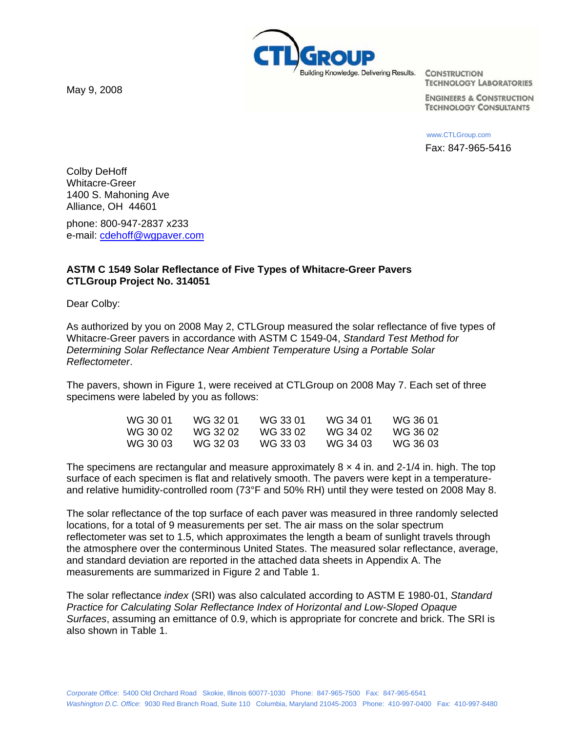May 9, 2008



**TECHNOLOGY LABORATORIES** 

**ENGINEERS & CONSTRUCTION TECHNOLOGY CONSULTANTS** 

www.CTLGroup.com Fax: 847-965-5416

Colby DeHoff Whitacre-Greer 1400 S. Mahoning Ave Alliance, OH 44601

phone: 800-947-2837 x233 e-mail: cdehoff@wgpaver.com

# **ASTM C 1549 Solar Reflectance of Five Types of Whitacre-Greer Pavers CTLGroup Project No. 314051**

Dear Colby:

As authorized by you on 2008 May 2, CTLGroup measured the solar reflectance of five types of Whitacre-Greer pavers in accordance with ASTM C 1549-04, *Standard Test Method for Determining Solar Reflectance Near Ambient Temperature Using a Portable Solar Reflectometer*.

The pavers, shown in Figure 1, were received at CTLGroup on 2008 May 7. Each set of three specimens were labeled by you as follows:

| WG 30 01  | WG 32 01 | WG 33 01 | WG 34 01 | WG 36 01 |
|-----------|----------|----------|----------|----------|
| WG 30 02. | WG 32 02 | WG 33 02 | WG 34 02 | WG 36 02 |
| WG 30 03. | WG 32 03 | WG 33 03 | WG 34 03 | WG 36 03 |

The specimens are rectangular and measure approximately  $8 \times 4$  in. and 2-1/4 in. high. The top surface of each specimen is flat and relatively smooth. The pavers were kept in a temperatureand relative humidity-controlled room (73°F and 50% RH) until they were tested on 2008 May 8.

The solar reflectance of the top surface of each paver was measured in three randomly selected locations, for a total of 9 measurements per set. The air mass on the solar spectrum reflectometer was set to 1.5, which approximates the length a beam of sunlight travels through the atmosphere over the conterminous United States. The measured solar reflectance, average, and standard deviation are reported in the attached data sheets in Appendix A. The measurements are summarized in Figure 2 and Table 1.

The solar reflectance *index* (SRI) was also calculated according to ASTM E 1980-01, *Standard Practice for Calculating Solar Reflectance Index of Horizontal and Low-Sloped Opaque Surfaces*, assuming an emittance of 0.9, which is appropriate for concrete and brick. The SRI is also shown in Table 1.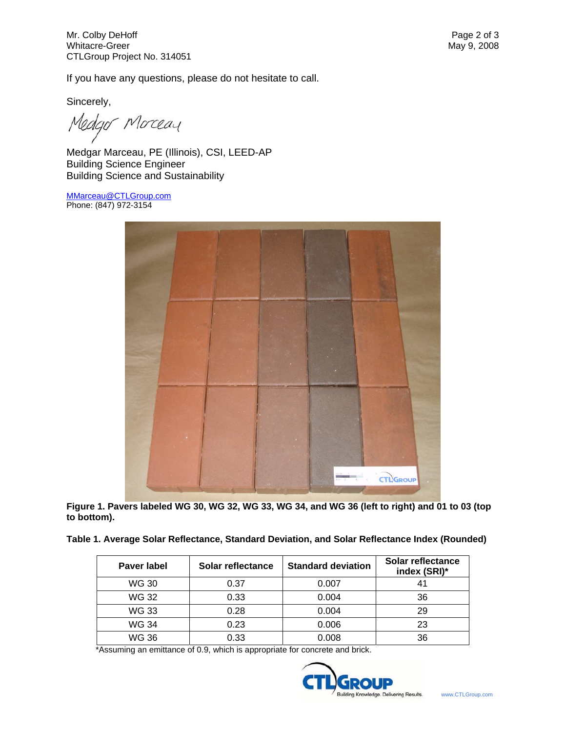If you have any questions, please do not hesitate to call.

Sincerely,

ledgor Morceau

Medgar Marceau, PE (Illinois), CSI, LEED-AP Building Science Engineer Building Science and Sustainability

MMarceau@CTLGroup.com Phone: (847) 972-3154



**Figure 1. Pavers labeled WG 30, WG 32, WG 33, WG 34, and WG 36 (left to right) and 01 to 03 (top to bottom).** 

| Table 1. Average Solar Reflectance, Standard Deviation, and Solar Reflectance Index (Rounded) |
|-----------------------------------------------------------------------------------------------|
|-----------------------------------------------------------------------------------------------|

| Paver label | Solar reflectance | <b>Standard deviation</b> | Solar reflectance<br>index (SRI)* |
|-------------|-------------------|---------------------------|-----------------------------------|
| WG 30       | 0.37              | 0.007                     | 41                                |
| WG 32       | 0.33              | 0.004                     | 36                                |
| WG 33       | 0.28              | 0.004                     | 29                                |
| WG 34       | 0.23              | 0.006                     | 23                                |
| WG 36       | 0.33              | 0.008                     | 36                                |

\*Assuming an emittance of 0.9, which is appropriate for concrete and brick.

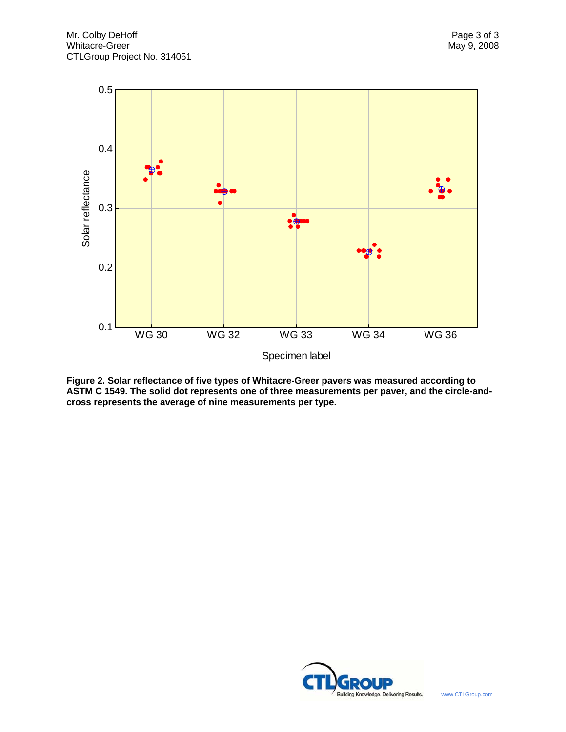

**Figure 2. Solar reflectance of five types of Whitacre-Greer pavers was measured according to ASTM C 1549. The solid dot represents one of three measurements per paver, and the circle-andcross represents the average of nine measurements per type.** 

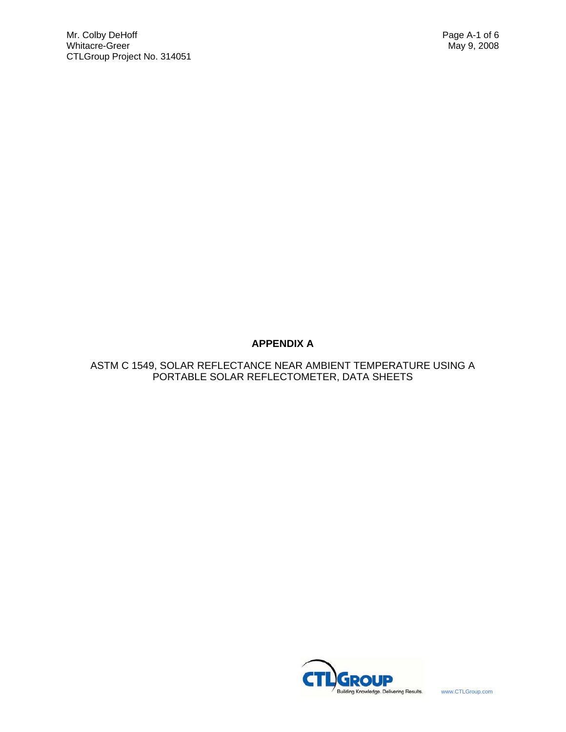# **APPENDIX A**

ASTM C 1549, SOLAR REFLECTANCE NEAR AMBIENT TEMPERATURE USING A PORTABLE SOLAR REFLECTOMETER, DATA SHEETS

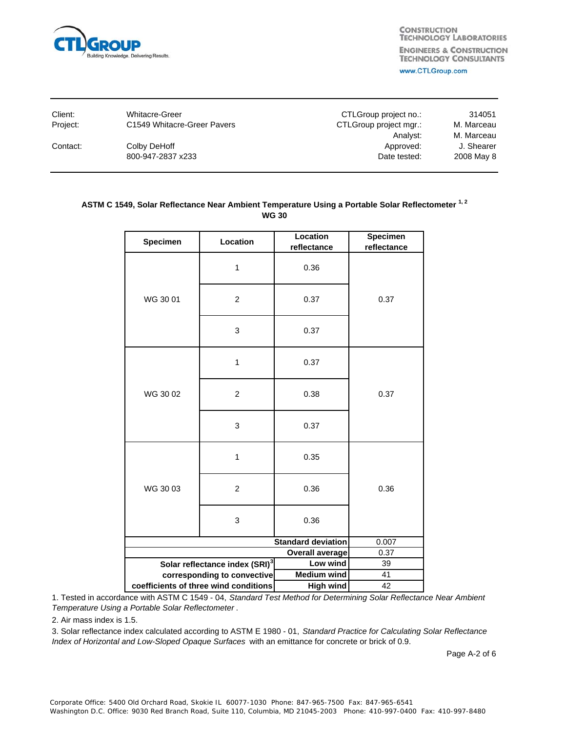

| Client:  | Whitacre-Greer              | CTLGroup project no.:  | 314051                   |
|----------|-----------------------------|------------------------|--------------------------|
| Project: | C1549 Whitacre-Greer Pavers | CTLGroup project mgr.: | M. Marceau               |
| Contact: | Colby DeHoff                | Analyst:<br>Approved:  | M. Marceau<br>J. Shearer |
|          | 800-947-2837 x233           | Date tested:           | 2008 May 8               |
|          |                             |                        |                          |

## ASTM C 1549, Solar Reflectance Near Ambient Temperature Using a Portable Solar Reflectometer<sup>1,2</sup> **WG 30**

| Specimen                              | Location                                   | Location<br>reflectance | Specimen<br>reflectance |
|---------------------------------------|--------------------------------------------|-------------------------|-------------------------|
|                                       | 1                                          | 0.36                    |                         |
| WG 30 01                              | $\overline{2}$                             | 0.37                    | 0.37                    |
|                                       | 3                                          | 0.37                    |                         |
|                                       | 1                                          | 0.37                    |                         |
| WG 30 02                              | $\overline{2}$                             | 0.38                    | 0.37                    |
|                                       | 3                                          | 0.37                    |                         |
|                                       | 1                                          | 0.35                    |                         |
| WG 30 03                              | $\overline{c}$                             | 0.36                    | 0.36                    |
|                                       | 3                                          | 0.36                    |                         |
| <b>Standard deviation</b>             |                                            | 0.007                   |                         |
| <b>Overall average</b>                |                                            | 0.37                    |                         |
|                                       | Solar reflectance index (SRI) <sup>3</sup> | Low wind                | 39                      |
|                                       | corresponding to convective                | <b>Medium wind</b>      | 41                      |
| coefficients of three wind conditions |                                            | <b>High wind</b>        | 42                      |

1. Tested in accordance with ASTM C 1549 - 04, *Standard Test Method for Determining Solar Reflectance Near Ambient Temperature Using a Portable Solar Reflectometer* .

2. Air mass index is 1.5.

3. Solar reflectance index calculated according to ASTM E 1980 - 01, *Standard Practice for Calculating Solar Reflectance Index of Horizontal and Low-Sloped Opaque Surfaces* with an emittance for concrete or brick of 0.9.

Page A-2 of 6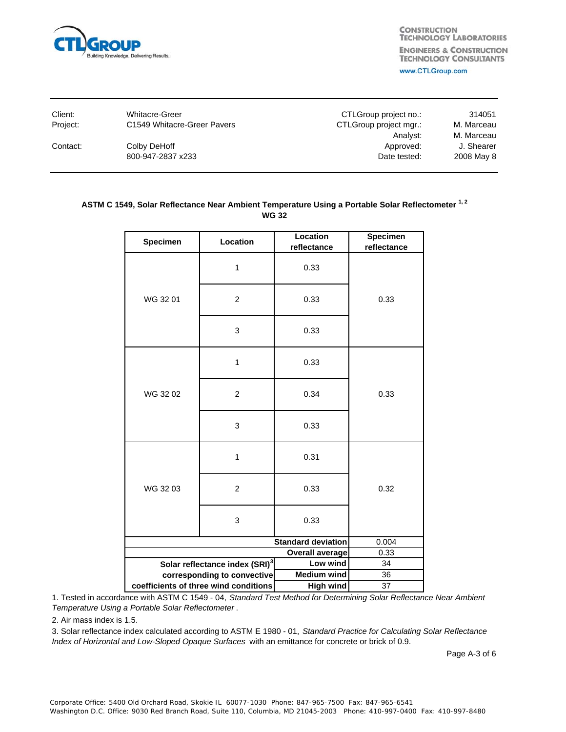

| <b>Whitacre-Greer</b>       | CTLGroup project no.:  | 314051     |
|-----------------------------|------------------------|------------|
| C1549 Whitacre-Greer Pavers | CTLGroup project mgr.: | M. Marceau |
|                             | Analyst:               | M. Marceau |
| Colby DeHoff                | Approved:              | J. Shearer |
| 800-947-2837 x233           | Date tested:           | 2008 May 8 |
|                             |                        |            |

## ASTM C 1549, Solar Reflectance Near Ambient Temperature Using a Portable Solar Reflectometer<sup>1,2</sup> **WG 32**

| Specimen<br>Location                  |                                            |                           |             |
|---------------------------------------|--------------------------------------------|---------------------------|-------------|
| Specimen                              | Location                                   | reflectance               | reflectance |
|                                       |                                            |                           |             |
|                                       | 1                                          | 0.33                      |             |
|                                       |                                            |                           |             |
|                                       |                                            |                           |             |
| WG 3201                               | $\overline{c}$                             | 0.33                      | 0.33        |
|                                       |                                            |                           |             |
|                                       |                                            |                           |             |
|                                       | 3                                          | 0.33                      |             |
|                                       |                                            |                           |             |
|                                       | 1                                          | 0.33                      |             |
|                                       |                                            |                           |             |
|                                       |                                            |                           |             |
| WG 3202                               | $\overline{2}$                             | 0.34                      | 0.33        |
|                                       |                                            |                           |             |
|                                       | 3                                          | 0.33                      |             |
|                                       |                                            |                           |             |
|                                       |                                            |                           |             |
|                                       | 1                                          | 0.31                      |             |
|                                       |                                            |                           |             |
| WG 3203                               | $\overline{2}$                             | 0.33                      | 0.32        |
|                                       |                                            |                           |             |
|                                       |                                            |                           |             |
|                                       | 3                                          | 0.33                      |             |
|                                       |                                            |                           |             |
|                                       |                                            | <b>Standard deviation</b> | 0.004       |
| <b>Overall average</b>                |                                            |                           | 0.33        |
|                                       | Solar reflectance index (SRI) <sup>3</sup> | Low wind                  | 34          |
|                                       | corresponding to convective                | <b>Medium wind</b>        | 36          |
| coefficients of three wind conditions |                                            | <b>High wind</b>          | 37          |

1. Tested in accordance with ASTM C 1549 - 04, *Standard Test Method for Determining Solar Reflectance Near Ambient Temperature Using a Portable Solar Reflectometer* .

2. Air mass index is 1.5.

3. Solar reflectance index calculated according to ASTM E 1980 - 01, *Standard Practice for Calculating Solar Reflectance Index of Horizontal and Low-Sloped Opaque Surfaces* with an emittance for concrete or brick of 0.9.

Page A-3 of 6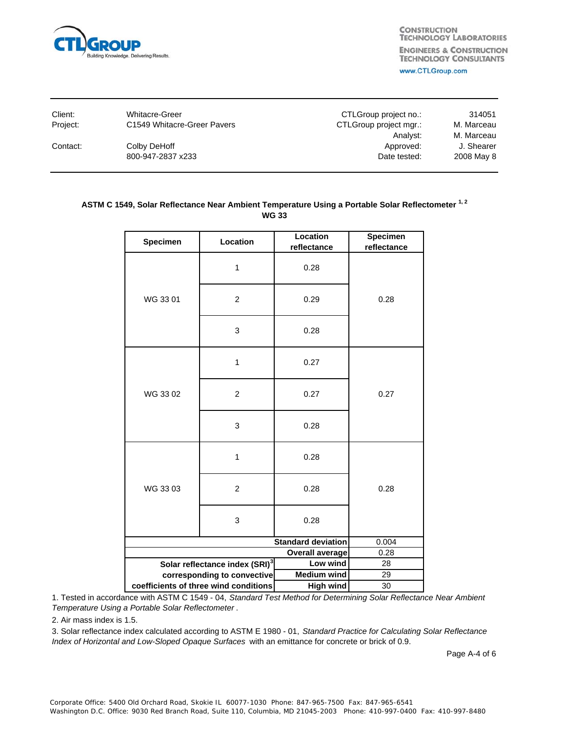

| Client:  | Whitacre-Greer              | CTLGroup project no.:  | 314051                   |
|----------|-----------------------------|------------------------|--------------------------|
| Project: | C1549 Whitacre-Greer Pavers | CTLGroup project mgr.: | M. Marceau               |
| Contact: | Colby DeHoff                | Analyst:<br>Approved:  | M. Marceau<br>J. Shearer |
|          | 800-947-2837 x233           | Date tested:           | 2008 May 8               |
|          |                             |                        |                          |

## ASTM C 1549, Solar Reflectance Near Ambient Temperature Using a Portable Solar Reflectometer<sup>1,2</sup> **WG 33**

| Specimen                              | Location                                   | Location<br>reflectance | <b>Specimen</b><br>reflectance |
|---------------------------------------|--------------------------------------------|-------------------------|--------------------------------|
|                                       |                                            |                         |                                |
|                                       | 1                                          | 0.28                    |                                |
|                                       |                                            |                         |                                |
| WG 33 01                              | $\overline{2}$                             | 0.29                    | 0.28                           |
|                                       |                                            |                         |                                |
|                                       | 3                                          | 0.28                    |                                |
|                                       |                                            |                         |                                |
|                                       | 1                                          | 0.27                    |                                |
|                                       |                                            |                         |                                |
|                                       |                                            |                         |                                |
| WG 3302                               | $\overline{2}$                             | 0.27                    | 0.27                           |
|                                       |                                            |                         |                                |
|                                       | 3                                          | 0.28                    |                                |
|                                       |                                            |                         |                                |
|                                       | 1                                          | 0.28                    |                                |
|                                       |                                            |                         |                                |
| WG 3303                               | $\overline{c}$                             | 0.28                    | 0.28                           |
|                                       |                                            |                         |                                |
|                                       | 3                                          | 0.28                    |                                |
|                                       |                                            |                         |                                |
| <b>Standard deviation</b>             |                                            |                         | 0.004                          |
| Overall average                       |                                            |                         | 0.28                           |
|                                       | Solar reflectance index (SRI) <sup>3</sup> | Low wind                | 28                             |
|                                       | corresponding to convective                | <b>Medium wind</b>      | 29                             |
| coefficients of three wind conditions |                                            | <b>High wind</b>        | 30                             |

1. Tested in accordance with ASTM C 1549 - 04, *Standard Test Method for Determining Solar Reflectance Near Ambient Temperature Using a Portable Solar Reflectometer* .

2. Air mass index is 1.5.

3. Solar reflectance index calculated according to ASTM E 1980 - 01, *Standard Practice for Calculating Solar Reflectance Index of Horizontal and Low-Sloped Opaque Surfaces* with an emittance for concrete or brick of 0.9.

Page A-4 of 6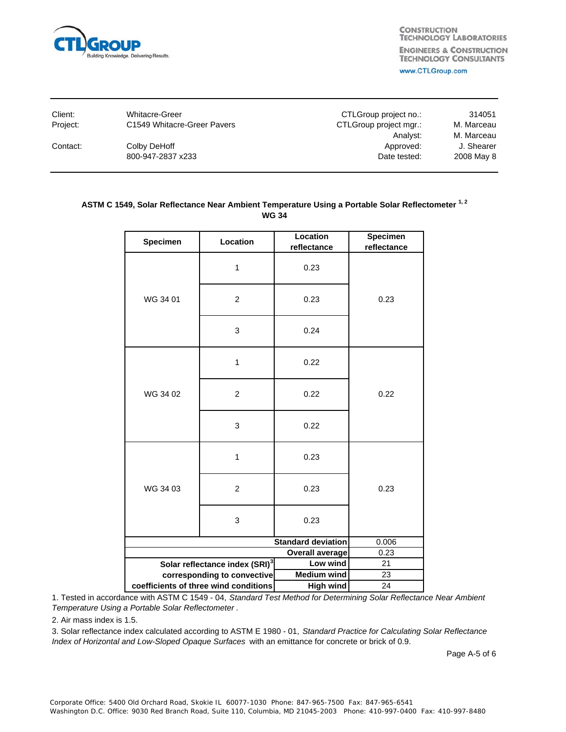

| <b>Whitacre-Greer</b>       | CTLGroup project no.:  | 314051     |
|-----------------------------|------------------------|------------|
| C1549 Whitacre-Greer Pavers | CTLGroup project mgr.: | M. Marceau |
|                             | Analyst:               | M. Marceau |
| Colby DeHoff                | Approved:              | J. Shearer |
| 800-947-2837 x233           | Date tested:           | 2008 May 8 |
|                             |                        |            |

## ASTM C 1549, Solar Reflectance Near Ambient Temperature Using a Portable Solar Reflectometer<sup>1,2</sup> **WG 34**

|                                       | Location                                   | Location           | Specimen    |
|---------------------------------------|--------------------------------------------|--------------------|-------------|
| Specimen                              |                                            | reflectance        | reflectance |
|                                       | 1                                          | 0.23               |             |
| WG 34 01                              | $\overline{c}$                             | 0.23               | 0.23        |
|                                       | 3                                          | 0.24               |             |
|                                       | 1                                          | 0.22               |             |
| WG 34 02                              | $\overline{2}$                             | 0.22               | 0.22        |
|                                       | 3                                          | 0.22               |             |
|                                       | 1                                          | 0.23               |             |
| WG 34 03                              | $\overline{c}$                             | 0.23               | 0.23        |
|                                       | 3                                          | 0.23               |             |
| <b>Standard deviation</b>             |                                            |                    | 0.006       |
| <b>Overall average</b>                |                                            |                    | 0.23        |
|                                       | Solar reflectance index (SRI) <sup>3</sup> | Low wind           | 21          |
|                                       | corresponding to convective                | <b>Medium wind</b> | 23          |
| coefficients of three wind conditions |                                            | <b>High wind</b>   | 24          |

1. Tested in accordance with ASTM C 1549 - 04, *Standard Test Method for Determining Solar Reflectance Near Ambient Temperature Using a Portable Solar Reflectometer* .

2. Air mass index is 1.5.

3. Solar reflectance index calculated according to ASTM E 1980 - 01, *Standard Practice for Calculating Solar Reflectance Index of Horizontal and Low-Sloped Opaque Surfaces* with an emittance for concrete or brick of 0.9.

Page A-5 of 6